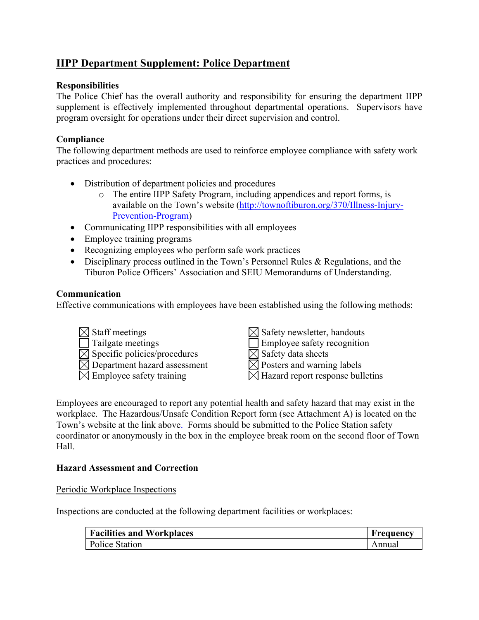# **IIPP Department Supplement: Police Department**

### **Responsibilities**

The Police Chief has the overall authority and responsibility for ensuring the department IIPP supplement is effectively implemented throughout departmental operations. Supervisors have program oversight for operations under their direct supervision and control.

## **Compliance**

The following department methods are used to reinforce employee compliance with safety work practices and procedures:

- Distribution of department policies and procedures
	- o The entire IIPP Safety Program, including appendices and report forms, is available on the Town's website [\(http://townoftiburon.org/370/Illness-Injury-](http://townoftiburon.org/370/Illness-Injury-Prevention-Program)[Prevention-Program\)](http://townoftiburon.org/370/Illness-Injury-Prevention-Program)
- Communicating IIPP responsibilities with all employees
- Employee training programs
- Recognizing employees who perform safe work practices
- Disciplinary process outlined in the Town's Personnel Rules & Regulations, and the Tiburon Police Officers' Association and SEIU Memorandums of Understanding.

## **Communication**

Effective communications with employees have been established using the following methods:

- $\boxtimes$  Staff meetings Tailgate meetings  $\mathbb{Z}$  Specific policies/procedures  $\overline{\boxtimes}$  Department hazard assessment  $\overline{\boxtimes}$  Employee safety training
- $\boxtimes$  Safety newsletter, handouts
- **Employee safety recognition**
- $\overline{\boxtimes}$  Safety data sheets
- Posters and warning labels
- Hazard report response bulletins

Employees are encouraged to report any potential health and safety hazard that may exist in the workplace. The Hazardous/Unsafe Condition Report form (see Attachment A) is located on the Town's website at the link above. Forms should be submitted to the Police Station safety coordinator or anonymously in the box in the employee break room on the second floor of Town Hall.

#### **Hazard Assessment and Correction**

Periodic Workplace Inspections

Inspections are conducted at the following department facilities or workplaces:

| <b>Facilities and Workplaces</b> | Frequency |
|----------------------------------|-----------|
| <b>Police Station</b>            | Annual    |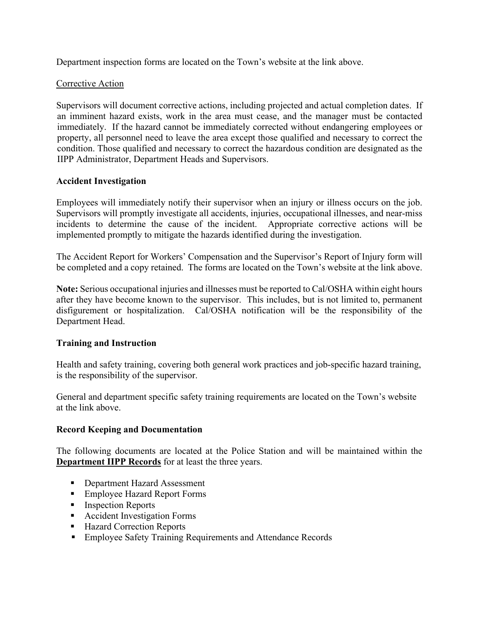Department inspection forms are located on the Town's website at the link above.

### Corrective Action

Supervisors will document corrective actions, including projected and actual completion dates. If an imminent hazard exists, work in the area must cease, and the manager must be contacted immediately. If the hazard cannot be immediately corrected without endangering employees or property, all personnel need to leave the area except those qualified and necessary to correct the condition. Those qualified and necessary to correct the hazardous condition are designated as the IIPP Administrator, Department Heads and Supervisors.

## **Accident Investigation**

Employees will immediately notify their supervisor when an injury or illness occurs on the job. Supervisors will promptly investigate all accidents, injuries, occupational illnesses, and near-miss incidents to determine the cause of the incident. Appropriate corrective actions will be implemented promptly to mitigate the hazards identified during the investigation.

The Accident Report for Workers' Compensation and the Supervisor's Report of Injury form will be completed and a copy retained. The forms are located on the Town's website at the link above.

**Note:** Serious occupational injuries and illnesses must be reported to Cal/OSHA within eight hours after they have become known to the supervisor. This includes, but is not limited to, permanent disfigurement or hospitalization. Cal/OSHA notification will be the responsibility of the Department Head.

#### **Training and Instruction**

Health and safety training, covering both general work practices and job-specific hazard training, is the responsibility of the supervisor.

General and department specific safety training requirements are located on the Town's website at the link above.

#### **Record Keeping and Documentation**

The following documents are located at the Police Station and will be maintained within the **Department IIPP Records** for at least the three years.

- Department Hazard Assessment
- Employee Hazard Report Forms
- **Inspection Reports**
- **Accident Investigation Forms**
- Hazard Correction Reports
- **Employee Safety Training Requirements and Attendance Records**